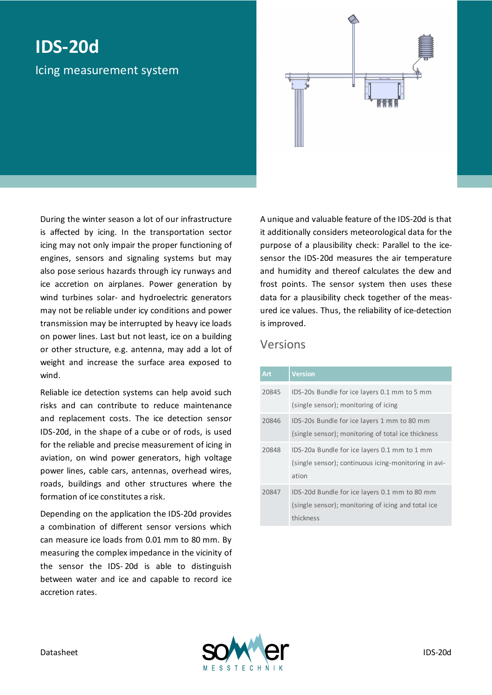# **IDS-20d**

Icing measurement system

During the winter season a lot of our infrastructure is affected by icing. In the transportation sector icing may not only impair the proper functioning of engines, sensors and signaling systems but may also pose serious hazards through icy runways and ice accretion on airplanes. Power generation by wind turbines solar- and hydroelectric generators may not be reliable under icy conditions and power transmission may be interrupted by heavy ice loads on power lines. Last but not least, ice on a building or other structure, e.g. antenna, may add a lot of weight and increase the surface area exposed to wind.

Reliable ice detection systems can help avoid such risks and can contribute to reduce maintenance and replacement costs. The ice detection sensor IDS-20d, in the shape of a cube or of rods, is used for the reliable and precise measurement of icing in aviation, on wind power generators, high voltage power lines, cable cars, antennas, overhead wires, roads, buildings and other structures where the formation of ice constitutes a risk.

Depending on the application the IDS-20d provides a combination of different sensor versions which can measure ice loads from 0.01 mm to 80 mm. By measuring the complex impedance in the vicinity of the sensor the IDS- 20d is able to distinguish between water and ice and capable to record ice accretion rates.

A unique and valuable feature of the IDS-20d is that it additionally considers meteorological data for the purpose of a plausibility check: Parallel to the icesensor the IDS-20d measures the air temperature and humidity and thereof calculates the dew and frost points. The sensor system then uses these data for a plausibility check together of the measured ice values. Thus, the reliability of ice-detection is improved.

#### Versions

| Art   | <b>Version</b>                                       |
|-------|------------------------------------------------------|
| 20845 | IDS-20s Bundle for ice layers 0.1 mm to 5 mm         |
|       | (single sensor); monitoring of icing                 |
| 20846 | IDS-20s Bundle for ice layers 1 mm to 80 mm          |
|       | (single sensor); monitoring of total ice thickness   |
| 20848 | IDS-20a Bundle for ice layers 0.1 mm to 1 mm         |
|       | (single sensor); continuous icing-monitoring in avi- |
|       | ation                                                |
| 20847 | IDS-20d Bundle for ice layers 0.1 mm to 80 mm        |
|       | (single sensor); monitoring of icing and total ice   |
|       | thickness                                            |

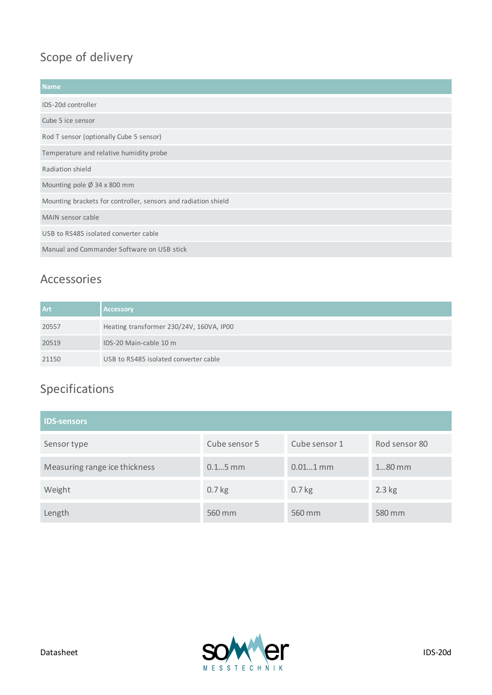### Scope of delivery

| <b>Name</b>                                                    |  |  |
|----------------------------------------------------------------|--|--|
| IDS-20d controller                                             |  |  |
| Cube 5 ice sensor                                              |  |  |
| Rod T sensor (optionally Cube 5 sensor)                        |  |  |
| Temperature and relative humidity probe                        |  |  |
| Radiation shield                                               |  |  |
| Mounting pole Ø 34 x 800 mm                                    |  |  |
| Mounting brackets for controller, sensors and radiation shield |  |  |
| MAIN sensor cable                                              |  |  |
| USB to RS485 isolated converter cable                          |  |  |
| Manual and Commander Software on USB stick                     |  |  |

#### Accessories

| Art   | <b>Accessory</b>                         |
|-------|------------------------------------------|
| 20557 | Heating transformer 230/24V, 160VA, IP00 |
| 20519 | IDS-20 Main-cable 10 m                   |
| 21150 | USB to RS485 isolated converter cable    |

## Specifications

| <b>IDS-sensors</b>            |               |               |               |  |  |
|-------------------------------|---------------|---------------|---------------|--|--|
| Sensor type                   | Cube sensor 5 | Cube sensor 1 | Rod sensor 80 |  |  |
| Measuring range ice thickness | $0.15$ mm     | $0.011$ mm    | $180$ mm      |  |  |
| Weight                        | $0.7$ kg      | $0.7$ kg      | $2.3$ kg      |  |  |
| Length                        | 560 mm        | 560 mm        | 580 mm        |  |  |

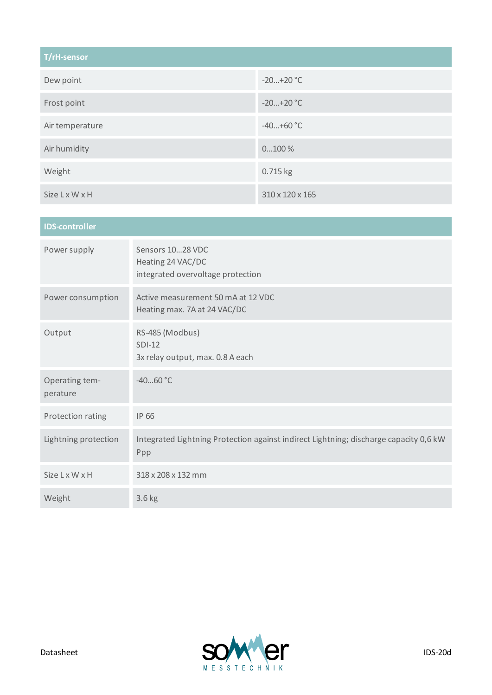| T/rH-sensor           |                 |  |  |
|-----------------------|-----------------|--|--|
| Dew point             | $-20+20$ °C     |  |  |
| Frost point           | $-20+20$ °C     |  |  |
| Air temperature       | $-40+60$ °C     |  |  |
| Air humidity          | $0100\%$        |  |  |
| Weight                | 0.715 kg        |  |  |
| <b>Size L x W x H</b> | 310 x 120 x 165 |  |  |

| <b>IDS-controller</b>      |                                                                                              |  |  |  |
|----------------------------|----------------------------------------------------------------------------------------------|--|--|--|
| Power supply               | Sensors 1028 VDC<br>Heating 24 VAC/DC<br>integrated overvoltage protection                   |  |  |  |
| Power consumption          | Active measurement 50 mA at 12 VDC<br>Heating max. 7A at 24 VAC/DC                           |  |  |  |
| Output                     | RS-485 (Modbus)<br>$SDI-12$<br>3x relay output, max. 0.8 A each                              |  |  |  |
| Operating tem-<br>perature | $-4060 °C$                                                                                   |  |  |  |
| Protection rating          | IP 66                                                                                        |  |  |  |
| Lightning protection       | Integrated Lightning Protection against indirect Lightning; discharge capacity 0,6 kW<br>Ppp |  |  |  |
| <b>Size L x W x H</b>      | 318 x 208 x 132 mm                                                                           |  |  |  |
| Weight                     | 3.6 kg                                                                                       |  |  |  |